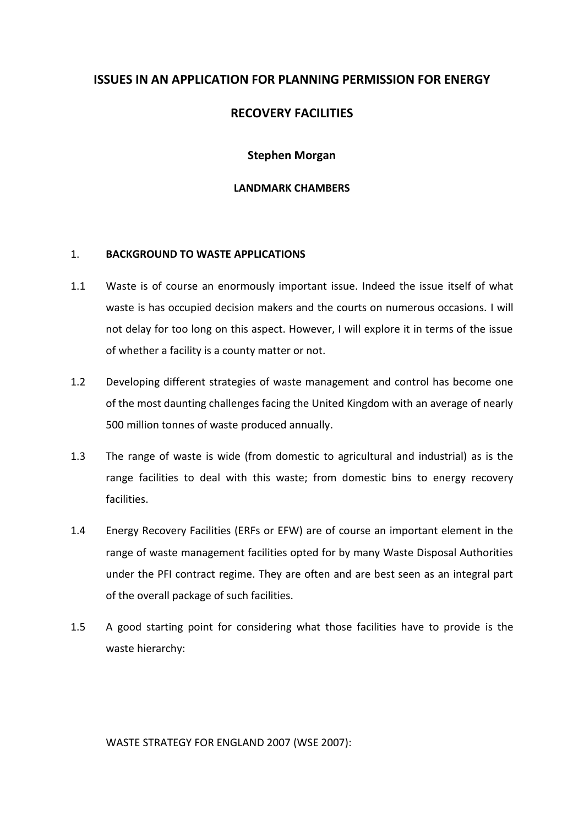# **ISSUES IN AN APPLICATION FOR PLANNING PERMISSION FOR ENERGY**

# **RECOVERY FACILITIES**

### **Stephen Morgan**

### **LANDMARK CHAMBERS**

### 1. **BACKGROUND TO WASTE APPLICATIONS**

- 1.1 Waste is of course an enormously important issue. Indeed the issue itself of what waste is has occupied decision makers and the courts on numerous occasions. I will not delay for too long on this aspect. However, I will explore it in terms of the issue of whether a facility is a county matter or not.
- 1.2 Developing different strategies of waste management and control has become one of the most daunting challenges facing the United Kingdom with an average of nearly 500 million tonnes of waste produced annually.
- 1.3 The range of waste is wide (from domestic to agricultural and industrial) as is the range facilities to deal with this waste; from domestic bins to energy recovery facilities.
- 1.4 Energy Recovery Facilities (ERFs or EFW) are of course an important element in the range of waste management facilities opted for by many Waste Disposal Authorities under the PFI contract regime. They are often and are best seen as an integral part of the overall package of such facilities.
- 1.5 A good starting point for considering what those facilities have to provide is the waste hierarchy:

WASTE STRATEGY FOR ENGLAND 2007 (WSE 2007):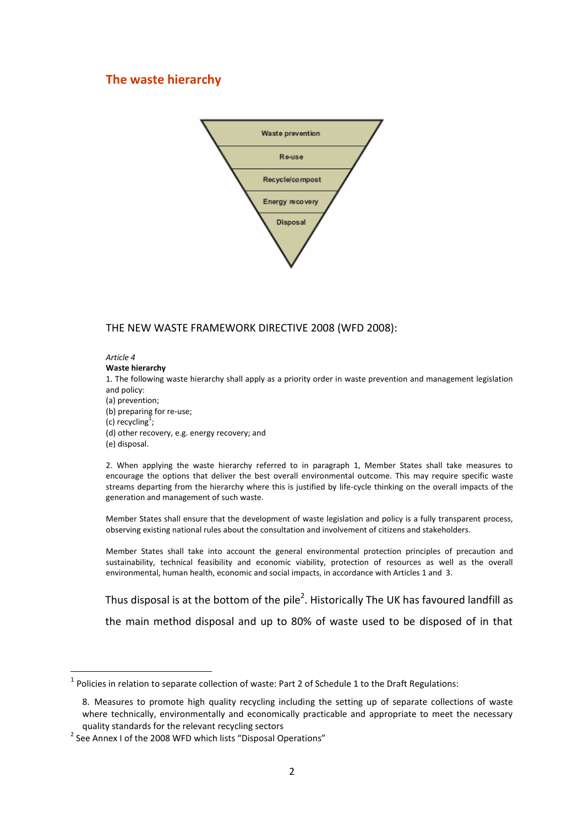### **The waste hierarchy**



### THE NEW WASTE FRAMEWORK DIRECTIVE 2008 (WFD 2008):

#### *Article 4*

#### **Waste hierarchy**

1. The following waste hierarchy shall apply as a priority order in waste prevention and management legislation and policy:

- (a) prevention;
- (b) preparing for re-use;
- (c) recycling<sup>1</sup>;
- (d) other recovery, e.g. energy recovery; and
- (e) disposal.

**.** 

2. When applying the waste hierarchy referred to in paragraph 1, Member States shall take measures to encourage the options that deliver the best overall environmental outcome. This may require specific waste streams departing from the hierarchy where this is justified by life-cycle thinking on the overall impacts of the generation and management of such waste.

Member States shall ensure that the development of waste legislation and policy is a fully transparent process, observing existing national rules about the consultation and involvement of citizens and stakeholders.

Member States shall take into account the general environmental protection principles of precaution and sustainability, technical feasibility and economic viability, protection of resources as well as the overall environmental, human health, economic and social impacts, in accordance with Articles 1 and 3.

Thus disposal is at the bottom of the pile<sup>2</sup>. Historically The UK has favoured landfill as the main method disposal and up to 80% of waste used to be disposed of in that

 $<sup>1</sup>$  Policies in relation to separate collection of waste: Part 2 of Schedule 1 to the Draft Regulations:</sup>

<sup>8.</sup> Measures to promote high quality recycling including the setting up of separate collections of waste where technically, environmentally and economically practicable and appropriate to meet the necessary quality standards for the relevant recycling sectors

 $2$  See Annex I of the 2008 WFD which lists "Disposal Operations"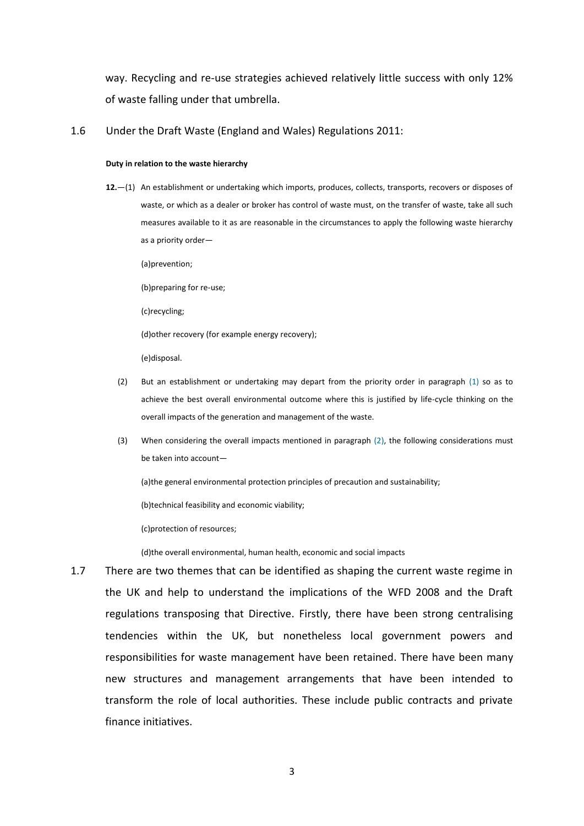way. Recycling and re-use strategies achieved relatively little success with only 12% of waste falling under that umbrella.

1.6 Under the Draft Waste (England and Wales) Regulations 2011:

#### **Duty in relation to the waste hierarchy**

**12.**—(1) An establishment or undertaking which imports, produces, collects, transports, recovers or disposes of waste, or which as a dealer or broker has control of waste must, on the transfer of waste, take all such measures available to it as are reasonable in the circumstances to apply the following waste hierarchy as a priority order—

(a)prevention;

(b)preparing for re-use;

(c)recycling;

(d)other recovery (for example energy recovery);

(e)disposal.

- (2) But an establishment or undertaking may depart from the priority order in paragraph [\(1\)](http://www.legislation.gov.uk/ukdsi/2011/9780111506462#regulation-12-1) so as to achieve the best overall environmental outcome where this is justified by life-cycle thinking on the overall impacts of the generation and management of the waste.
- (3) When considering the overall impacts mentioned in paragraph [\(2\),](http://www.legislation.gov.uk/ukdsi/2011/9780111506462#regulation-12-2) the following considerations must be taken into account—

(a)the general environmental protection principles of precaution and sustainability;

(b)technical feasibility and economic viability;

(c)protection of resources;

(d)the overall environmental, human health, economic and social impacts

1.7 There are two themes that can be identified as shaping the current waste regime in the UK and help to understand the implications of the WFD 2008 and the Draft regulations transposing that Directive. Firstly, there have been strong centralising tendencies within the UK, but nonetheless local government powers and responsibilities for waste management have been retained. There have been many new structures and management arrangements that have been intended to transform the role of local authorities. These include public contracts and private finance initiatives.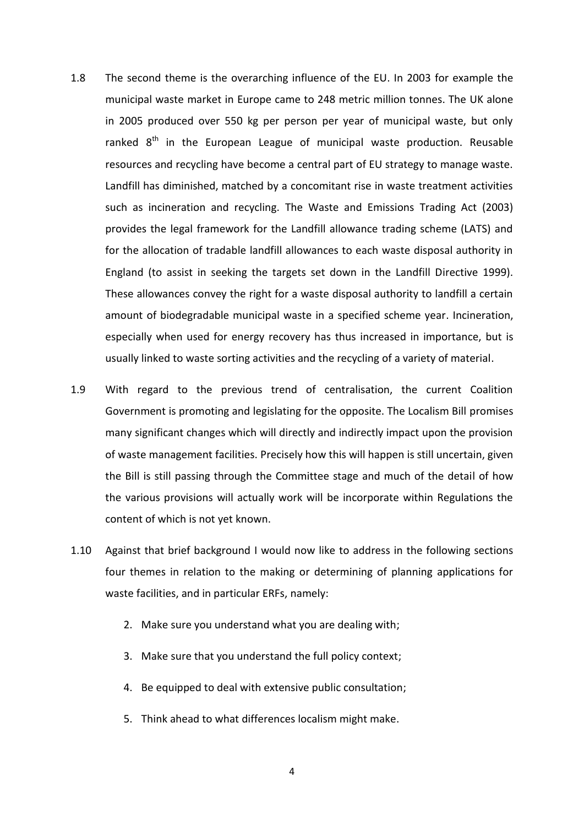- 1.8 The second theme is the overarching influence of the EU. In 2003 for example the municipal waste market in Europe came to 248 metric million tonnes. The UK alone in 2005 produced over 550 kg per person per year of municipal waste, but only ranked  $8<sup>th</sup>$  in the European League of municipal waste production. Reusable resources and recycling have become a central part of EU strategy to manage waste. Landfill has diminished, matched by a concomitant rise in waste treatment activities such as incineration and recycling. The Waste and Emissions Trading Act (2003) provides the legal framework for the Landfill allowance trading scheme (LATS) and for the allocation of tradable landfill allowances to each waste disposal authority in England (to assist in seeking the targets set down in the Landfill Directive 1999). These allowances convey the right for a waste disposal authority to landfill a certain amount of biodegradable municipal waste in a specified scheme year. Incineration, especially when used for energy recovery has thus increased in importance, but is usually linked to waste sorting activities and the recycling of a variety of material.
- 1.9 With regard to the previous trend of centralisation, the current Coalition Government is promoting and legislating for the opposite. The Localism Bill promises many significant changes which will directly and indirectly impact upon the provision of waste management facilities. Precisely how this will happen is still uncertain, given the Bill is still passing through the Committee stage and much of the detail of how the various provisions will actually work will be incorporate within Regulations the content of which is not yet known.
- 1.10 Against that brief background I would now like to address in the following sections four themes in relation to the making or determining of planning applications for waste facilities, and in particular ERFs, namely:
	- 2. Make sure you understand what you are dealing with;
	- 3. Make sure that you understand the full policy context;
	- 4. Be equipped to deal with extensive public consultation;
	- 5. Think ahead to what differences localism might make.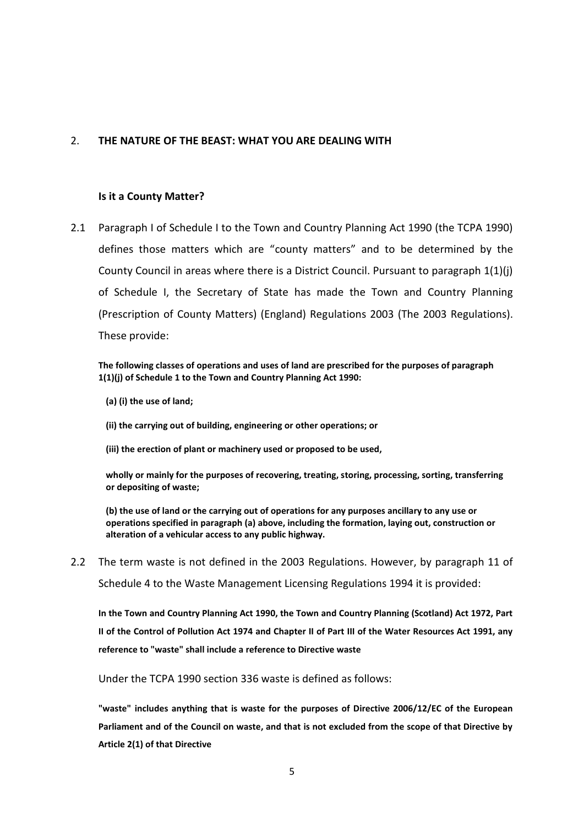### 2. **THE NATURE OF THE BEAST: WHAT YOU ARE DEALING WITH**

### **Is it a County Matter?**

2.1 Paragraph I of Schedule I to the Town and Country Planning Act 1990 (the TCPA 1990) defines those matters which are "county matters" and to be determined by the County Council in areas where there is a District Council. Pursuant to paragraph 1(1)(j) of Schedule I, the Secretary of State has made the Town and Country Planning (Prescription of County Matters) (England) Regulations 2003 (The 2003 Regulations). These provide:

**The following classes of operations and uses of land are prescribed for the purposes of paragraph 1(1)(j) of Schedule 1 to the Town and Country Planning Act 1990:**

**(a) (i) the use of land;**

**(ii) the carrying out of building, engineering or other operations; or**

**(iii) the erection of plant or machinery used or proposed to be used,**

**wholly or mainly for the purposes of recovering, treating, storing, processing, sorting, transferring or depositing of waste;**

**(b) the use of land or the carrying out of operations for any purposes ancillary to any use or operations specified in paragraph (a) above, including the formation, laying out, construction or alteration of a vehicular access to any public highway.**

2.2 The term waste is not defined in the 2003 Regulations. However, by paragraph 11 of Schedule 4 to the Waste Management Licensing Regulations 1994 it is provided:

**In the Town and Country Planning Act 1990, the Town and Country Planning (Scotland) Act 1972, Part II of the Control of Pollution Act 1974 and Chapter II of Part III of the Water Resources Act 1991, any reference to "waste" shall include a reference to Directive waste**

Under the TCPA 1990 section 336 waste is defined as follows:

**"waste" includes anything that is waste for the purposes of Directive 2006/12/EC of the European Parliament and of the Council on waste, and that is not excluded from the scope of that Directive by Article 2(1) of that Directive**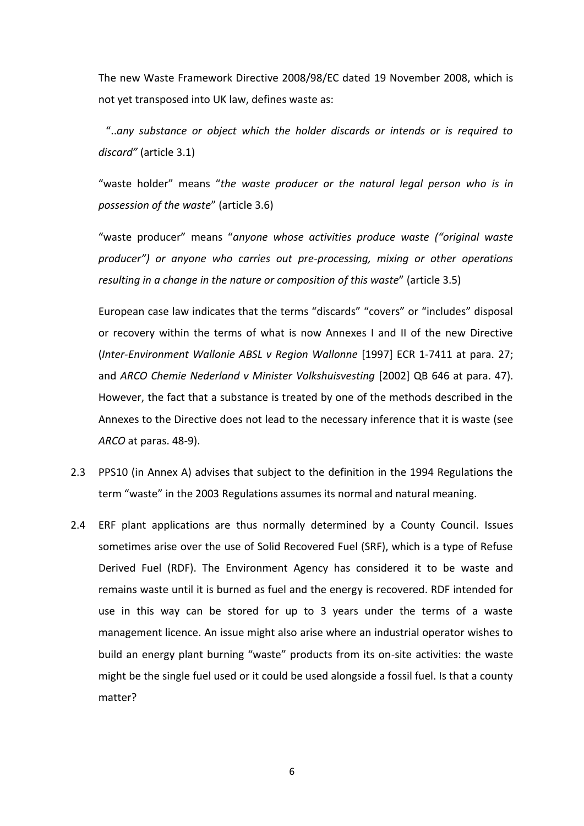The new Waste Framework Directive 2008/98/EC dated 19 November 2008, which is not yet transposed into UK law, defines waste as:

"..*any substance or object which the holder discards or intends or is required to discard"* (article 3.1)

"waste holder" means "*the waste producer or the natural legal person who is in possession of the waste*" (article 3.6)

"waste producer" means "*anyone whose activities produce waste ("original waste producer") or anyone who carries out pre-processing, mixing or other operations resulting in a change in the nature or composition of this waste*" (article 3.5)

European case law indicates that the terms "discards" "covers" or "includes" disposal or recovery within the terms of what is now Annexes I and II of the new Directive (*Inter-Environment Wallonie ABSL v Region Wallonne* [1997] ECR 1-7411 at para. 27; and *ARCO Chemie Nederland v Minister Volkshuisvesting* [2002] QB 646 at para. 47). However, the fact that a substance is treated by one of the methods described in the Annexes to the Directive does not lead to the necessary inference that it is waste (see *ARCO* at paras. 48-9).

- 2.3 PPS10 (in Annex A) advises that subject to the definition in the 1994 Regulations the term "waste" in the 2003 Regulations assumes its normal and natural meaning.
- 2.4 ERF plant applications are thus normally determined by a County Council. Issues sometimes arise over the use of Solid Recovered Fuel (SRF), which is a type of Refuse Derived Fuel (RDF). The Environment Agency has considered it to be waste and remains waste until it is burned as fuel and the energy is recovered. RDF intended for use in this way can be stored for up to 3 years under the terms of a waste management licence. An issue might also arise where an industrial operator wishes to build an energy plant burning "waste" products from its on-site activities: the waste might be the single fuel used or it could be used alongside a fossil fuel. Is that a county matter?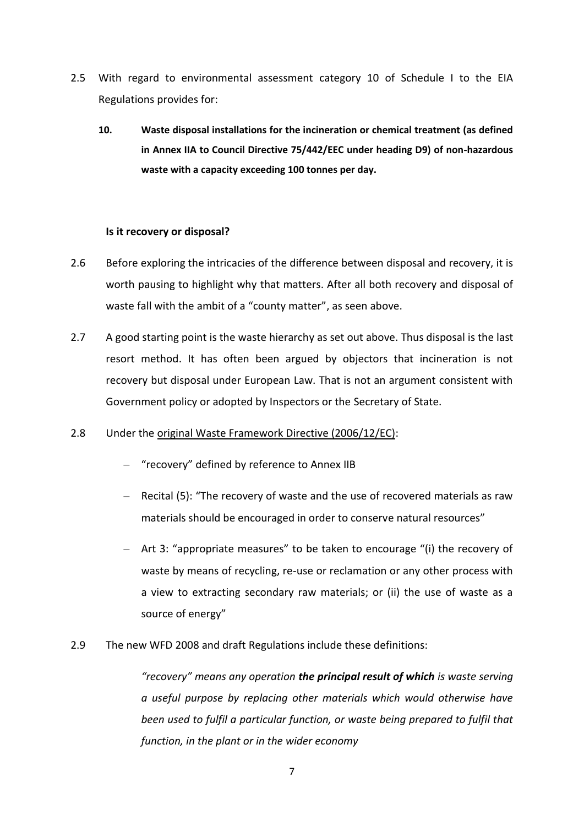- 2.5 With regard to environmental assessment category 10 of Schedule I to the EIA Regulations provides for:
	- **10. Waste disposal installations for the incineration or chemical treatment (as defined in Annex IIA to Council Directive 75/442/EEC under heading D9) of non-hazardous waste with a capacity exceeding 100 tonnes per day.**

### **Is it recovery or disposal?**

- 2.6 Before exploring the intricacies of the difference between disposal and recovery, it is worth pausing to highlight why that matters. After all both recovery and disposal of waste fall with the ambit of a "county matter", as seen above.
- 2.7 A good starting point is the waste hierarchy as set out above. Thus disposal is the last resort method. It has often been argued by objectors that incineration is not recovery but disposal under European Law. That is not an argument consistent with Government policy or adopted by Inspectors or the Secretary of State.

### 2.8 Under the original Waste Framework Directive (2006/12/EC):

- "recovery" defined by reference to Annex IIB
- Recital (5): "The recovery of waste and the use of recovered materials as raw materials should be encouraged in order to conserve natural resources"
- Art 3: "appropriate measures" to be taken to encourage "(i) the recovery of waste by means of recycling, re-use or reclamation or any other process with a view to extracting secondary raw materials; or (ii) the use of waste as a source of energy"
- 2.9 The new WFD 2008 and draft Regulations include these definitions:

*"recovery" means any operation the principal result of which is waste serving a useful purpose by replacing other materials which would otherwise have been used to fulfil a particular function, or waste being prepared to fulfil that function, in the plant or in the wider economy*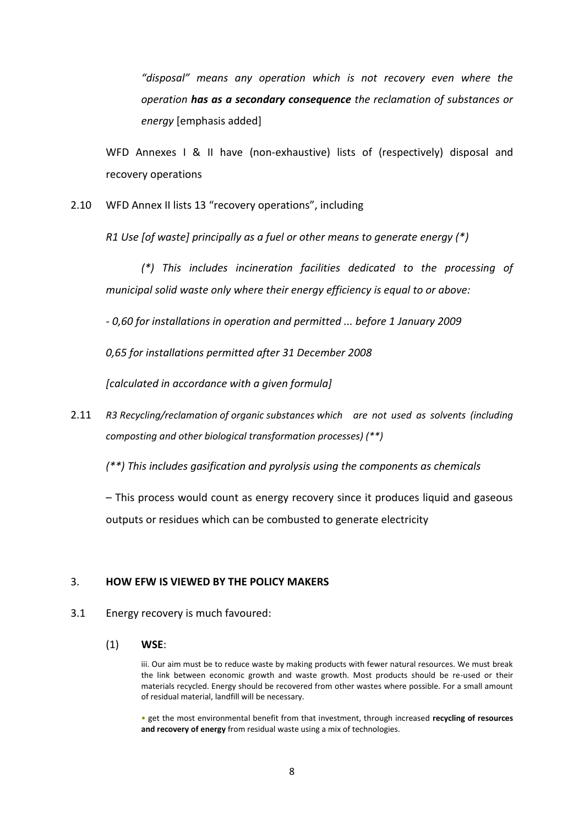*"disposal" means any operation which is not recovery even where the operation has as a secondary consequence the reclamation of substances or energy* [emphasis added]

WFD Annexes I & II have (non-exhaustive) lists of (respectively) disposal and recovery operations

2.10 WFD Annex II lists 13 "recovery operations", including

*R1 Use [of waste] principally as a fuel or other means to generate energy (\*)*

*(\*) This includes incineration facilities dedicated to the processing of municipal solid waste only where their energy efficiency is equal to or above:*

*- 0,60 for installations in operation and permitted ... before 1 January 2009*

*0,65 for installations permitted after 31 December 2008*

*[calculated in accordance with a given formula]*

2.11 *R3 Recycling/reclamation of organic substances which are not used as solvents (including composting and other biological transformation processes) (\*\*)*

*(\*\*) This includes gasification and pyrolysis using the components as chemicals*

– This process would count as energy recovery since it produces liquid and gaseous outputs or residues which can be combusted to generate electricity

### 3. **HOW EFW IS VIEWED BY THE POLICY MAKERS**

#### 3.1 Energy recovery is much favoured:

#### (1) **WSE**:

iii. Our aim must be to reduce waste by making products with fewer natural resources. We must break the link between economic growth and waste growth. Most products should be re-used or their materials recycled. Energy should be recovered from other wastes where possible. For a small amount of residual material, landfill will be necessary.

• get the most environmental benefit from that investment, through increased **recycling of resources and recovery of energy** from residual waste using a mix of technologies.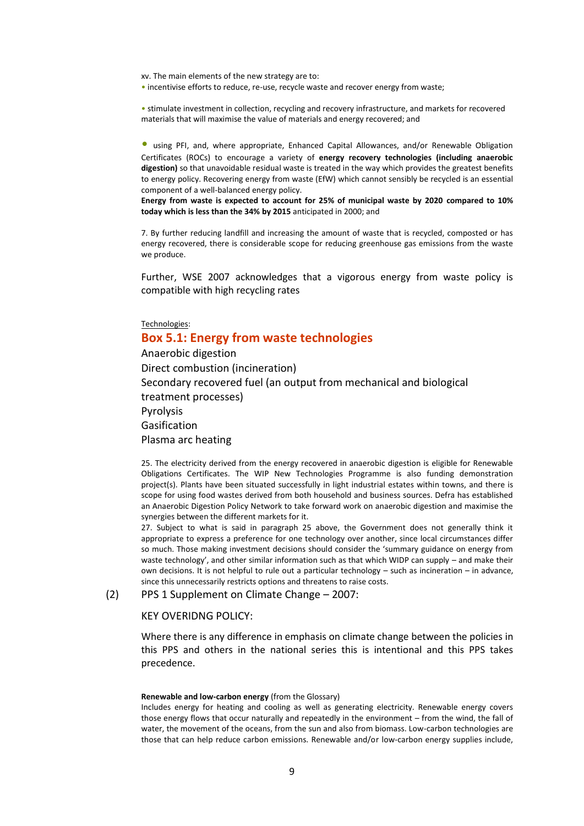xv. The main elements of the new strategy are to:

• incentivise efforts to reduce, re-use, recycle waste and recover energy from waste;

• stimulate investment in collection, recycling and recovery infrastructure, and markets for recovered materials that will maximise the value of materials and energy recovered; and

• using PFI, and, where appropriate, Enhanced Capital Allowances, and/or Renewable Obligation Certificates (ROCs) to encourage a variety of **energy recovery technologies (including anaerobic digestion)** so that unavoidable residual waste is treated in the way which provides the greatest benefits to energy policy. Recovering energy from waste (EfW) which cannot sensibly be recycled is an essential component of a well-balanced energy policy.

**Energy from waste is expected to account for 25% of municipal waste by 2020 compared to 10% today which is less than the 34% by 2015** anticipated in 2000; and

7. By further reducing landfill and increasing the amount of waste that is recycled, composted or has energy recovered, there is considerable scope for reducing greenhouse gas emissions from the waste we produce.

Further, WSE 2007 acknowledges that a vigorous energy from waste policy is compatible with high recycling rates

Technologies:

### **Box 5.1: Energy from waste technologies**

Anaerobic digestion Direct combustion (incineration) Secondary recovered fuel (an output from mechanical and biological treatment processes) Pyrolysis Gasification Plasma arc heating

25. The electricity derived from the energy recovered in anaerobic digestion is eligible for Renewable Obligations Certificates. The WIP New Technologies Programme is also funding demonstration project(s). Plants have been situated successfully in light industrial estates within towns, and there is scope for using food wastes derived from both household and business sources. Defra has established an Anaerobic Digestion Policy Network to take forward work on anaerobic digestion and maximise the synergies between the different markets for it.

27. Subject to what is said in paragraph 25 above, the Government does not generally think it appropriate to express a preference for one technology over another, since local circumstances differ so much. Those making investment decisions should consider the 'summary guidance on energy from waste technology', and other similar information such as that which WIDP can supply – and make their own decisions. It is not helpful to rule out a particular technology – such as incineration – in advance, since this unnecessarily restricts options and threatens to raise costs.

(2) PPS 1 Supplement on Climate Change – 2007:

#### KEY OVERIDNG POLICY:

Where there is any difference in emphasis on climate change between the policies in this PPS and others in the national series this is intentional and this PPS takes precedence.

#### **Renewable and low-carbon energy** (from the Glossary)

Includes energy for heating and cooling as well as generating electricity. Renewable energy covers those energy flows that occur naturally and repeatedly in the environment – from the wind, the fall of water, the movement of the oceans, from the sun and also from biomass. Low-carbon technologies are those that can help reduce carbon emissions. Renewable and/or low-carbon energy supplies include,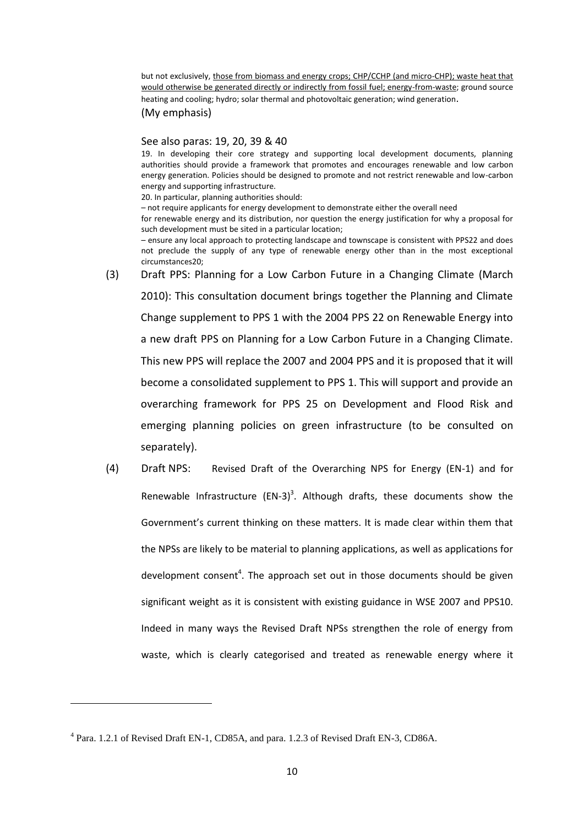but not exclusively, those from biomass and energy crops; CHP/CCHP (and micro-CHP); waste heat that would otherwise be generated directly or indirectly from fossil fuel; energy-from-waste; ground source heating and cooling; hydro; solar thermal and photovoltaic generation; wind generation.

(My emphasis)

#### See also paras: 19, 20, 39 & 40

19. In developing their core strategy and supporting local development documents, planning authorities should provide a framework that promotes and encourages renewable and low carbon energy generation. Policies should be designed to promote and not restrict renewable and low-carbon energy and supporting infrastructure.

20. In particular, planning authorities should:

– not require applicants for energy development to demonstrate either the overall need

for renewable energy and its distribution, nor question the energy justification for why a proposal for such development must be sited in a particular location;

– ensure any local approach to protecting landscape and townscape is consistent with PPS22 and does not preclude the supply of any type of renewable energy other than in the most exceptional circumstances20;

- (3) Draft PPS: Planning for a Low Carbon Future in a Changing Climate (March 2010): This consultation document brings together the Planning and Climate Change supplement to PPS 1 with the 2004 PPS 22 on Renewable Energy into a new draft PPS on Planning for a Low Carbon Future in a Changing Climate. This new PPS will replace the 2007 and 2004 PPS and it is proposed that it will become a consolidated supplement to PPS 1. This will support and provide an overarching framework for PPS 25 on Development and Flood Risk and emerging planning policies on green infrastructure (to be consulted on separately).
- (4) Draft NPS: Revised Draft of the Overarching NPS for Energy (EN-1) and for Renewable Infrastructure  $(EN-3)^3$ . Although drafts, these documents show the Government's current thinking on these matters. It is made clear within them that the NPSs are likely to be material to planning applications, as well as applications for development consent<sup>4</sup>. The approach set out in those documents should be given significant weight as it is consistent with existing guidance in WSE 2007 and PPS10. Indeed in many ways the Revised Draft NPSs strengthen the role of energy from waste, which is clearly categorised and treated as renewable energy where it

1

<sup>&</sup>lt;sup>4</sup> Para. 1.2.1 of Revised Draft EN-1, CD85A, and para. 1.2.3 of Revised Draft EN-3, CD86A.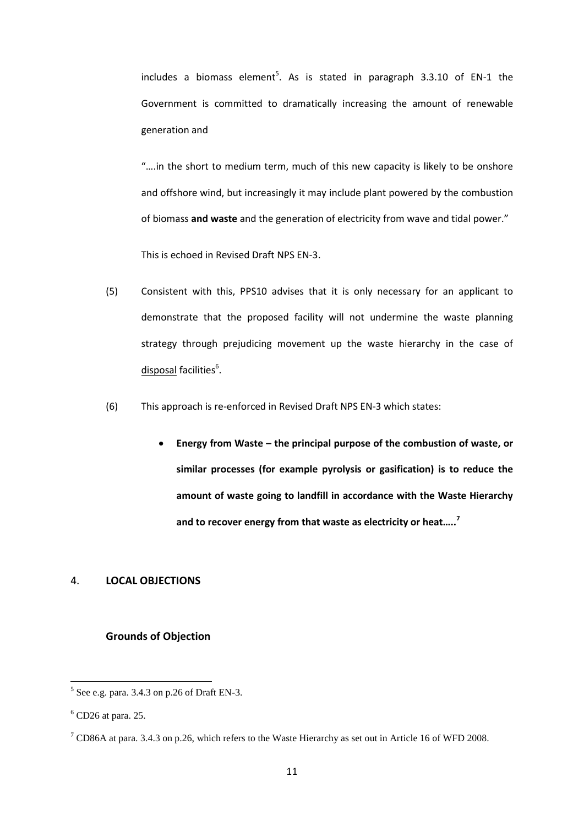includes a biomass element<sup>5</sup>. As is stated in paragraph 3.3.10 of EN-1 the Government is committed to dramatically increasing the amount of renewable generation and

"….in the short to medium term, much of this new capacity is likely to be onshore and offshore wind, but increasingly it may include plant powered by the combustion of biomass **and waste** and the generation of electricity from wave and tidal power."

This is echoed in Revised Draft NPS EN-3.

- (5) Consistent with this, PPS10 advises that it is only necessary for an applicant to demonstrate that the proposed facility will not undermine the waste planning strategy through prejudicing movement up the waste hierarchy in the case of disposal facilities<sup>6</sup>.
- (6) This approach is re-enforced in Revised Draft NPS EN-3 which states:
	- Energy from Waste the principal purpose of the combustion of waste, or **similar processes (for example pyrolysis or gasification) is to reduce the amount of waste going to landfill in accordance with the Waste Hierarchy and to recover energy from that waste as electricity or heat…..<sup>7</sup>**

#### 4. **LOCAL OBJECTIONS**

#### **Grounds of Objection**

 $\frac{5}{6}$  See e.g. para. 3.4.3 on p.26 of Draft EN-3.

 $<sup>6</sup>$  CD26 at para. 25.</sup>

<sup>&</sup>lt;sup>7</sup> CD86A at para. 3.4.3 on p.26, which refers to the Waste Hierarchy as set out in Article 16 of WFD 2008.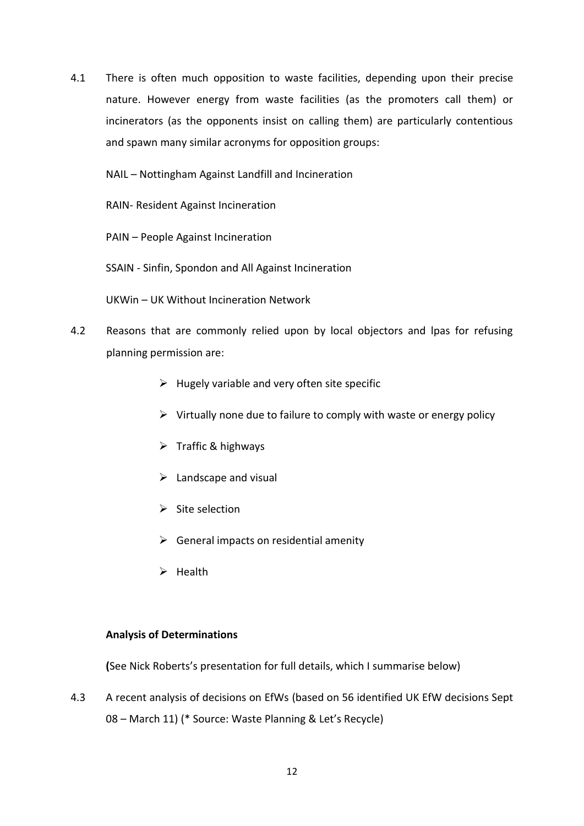4.1 There is often much opposition to waste facilities, depending upon their precise nature. However energy from waste facilities (as the promoters call them) or incinerators (as the opponents insist on calling them) are particularly contentious and spawn many similar acronyms for opposition groups:

NAIL – Nottingham Against Landfill and Incineration

RAIN- Resident Against Incineration

PAIN – People Against Incineration

SSAIN - Sinfin, Spondon and All Against Incineration

UKWin – UK Without Incineration Network

- 4.2 Reasons that are commonly relied upon by local objectors and lpas for refusing planning permission are:
	- $\triangleright$  Hugely variable and very often site specific
	- $\triangleright$  Virtually none due to failure to comply with waste or energy policy
	- $\triangleright$  Traffic & highways
	- $\triangleright$  Landscape and visual
	- $\triangleright$  Site selection
	- $\triangleright$  General impacts on residential amenity
	- $\triangleright$  Health

# **Analysis of Determinations**

**(**See Nick Roberts's presentation for full details, which I summarise below)

4.3 A recent analysis of decisions on EfWs (based on 56 identified UK EfW decisions Sept 08 – March 11) (\* Source: Waste Planning & Let's Recycle)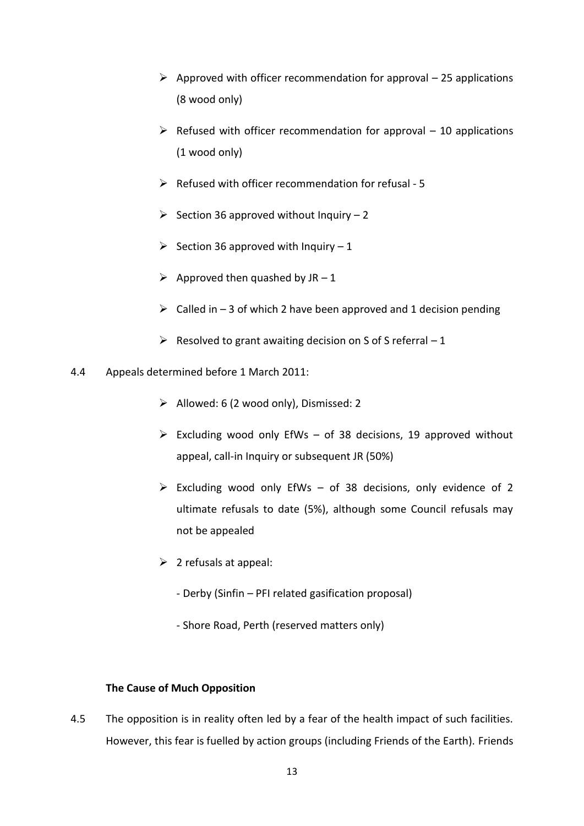- $\triangleright$  Approved with officer recommendation for approval 25 applications (8 wood only)
- $\triangleright$  Refused with officer recommendation for approval 10 applications (1 wood only)
- $\triangleright$  Refused with officer recommendation for refusal 5
- $\geq$  Section 36 approved without Inquiry 2
- Section 36 approved with Inquiry  $-1$
- $\triangleright$  Approved then quashed by JR 1
- $\triangleright$  Called in 3 of which 2 have been approved and 1 decision pending
- $\triangleright$  Resolved to grant awaiting decision on S of S referral 1
- 4.4 Appeals determined before 1 March 2011:
	- $\triangleright$  Allowed: 6 (2 wood only), Dismissed: 2
	- $\triangleright$  Excluding wood only EfWs of 38 decisions, 19 approved without appeal, call-in Inquiry or subsequent JR (50%)
	- $\triangleright$  Excluding wood only EfWs of 38 decisions, only evidence of 2 ultimate refusals to date (5%), although some Council refusals may not be appealed
	- $\triangleright$  2 refusals at appeal:
		- Derby (Sinfin PFI related gasification proposal)
		- Shore Road, Perth (reserved matters only)

# **The Cause of Much Opposition**

4.5 The opposition is in reality often led by a fear of the health impact of such facilities. However, this fear is fuelled by action groups (including Friends of the Earth). Friends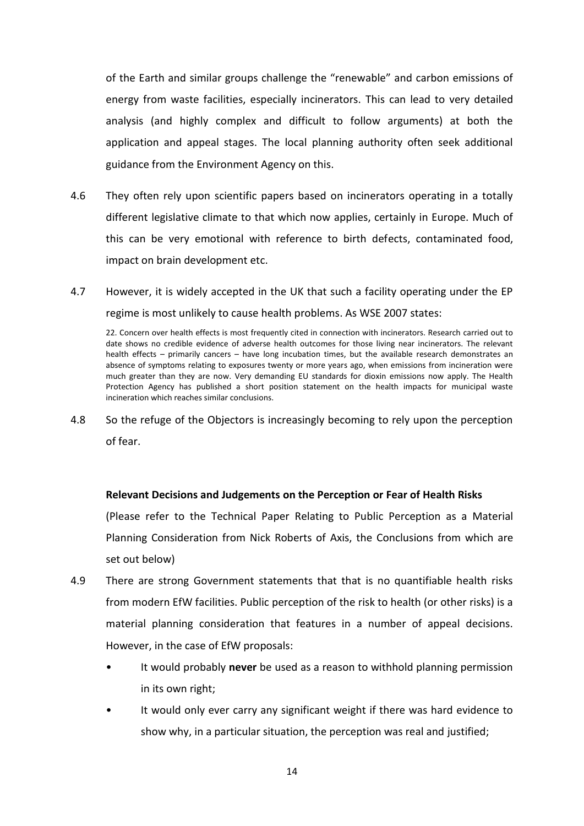of the Earth and similar groups challenge the "renewable" and carbon emissions of energy from waste facilities, especially incinerators. This can lead to very detailed analysis (and highly complex and difficult to follow arguments) at both the application and appeal stages. The local planning authority often seek additional guidance from the Environment Agency on this.

- 4.6 They often rely upon scientific papers based on incinerators operating in a totally different legislative climate to that which now applies, certainly in Europe. Much of this can be very emotional with reference to birth defects, contaminated food, impact on brain development etc.
- 4.7 However, it is widely accepted in the UK that such a facility operating under the EP regime is most unlikely to cause health problems. As WSE 2007 states:

22. Concern over health effects is most frequently cited in connection with incinerators. Research carried out to date shows no credible evidence of adverse health outcomes for those living near incinerators. The relevant health effects – primarily cancers – have long incubation times, but the available research demonstrates an absence of symptoms relating to exposures twenty or more years ago, when emissions from incineration were much greater than they are now. Very demanding EU standards for dioxin emissions now apply. The Health Protection Agency has published a short position statement on the health impacts for municipal waste incineration which reaches similar conclusions.

4.8 So the refuge of the Objectors is increasingly becoming to rely upon the perception of fear.

### **Relevant Decisions and Judgements on the Perception or Fear of Health Risks**

(Please refer to the Technical Paper Relating to Public Perception as a Material Planning Consideration from Nick Roberts of Axis, the Conclusions from which are set out below)

- 4.9 There are strong Government statements that that is no quantifiable health risks from modern EfW facilities. Public perception of the risk to health (or other risks) is a material planning consideration that features in a number of appeal decisions. However, in the case of EfW proposals:
	- It would probably **never** be used as a reason to withhold planning permission in its own right;
	- It would only ever carry any significant weight if there was hard evidence to show why, in a particular situation, the perception was real and justified;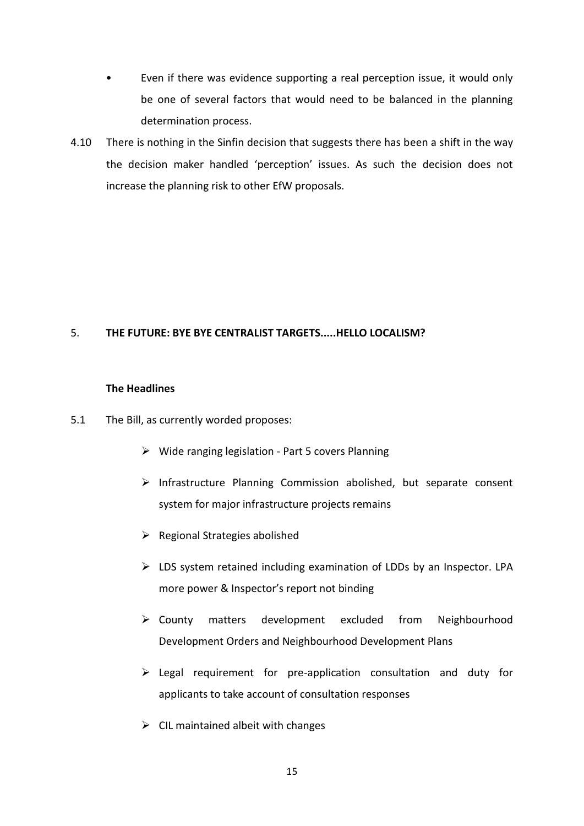- Even if there was evidence supporting a real perception issue, it would only be one of several factors that would need to be balanced in the planning determination process.
- 4.10 There is nothing in the Sinfin decision that suggests there has been a shift in the way the decision maker handled 'perception' issues. As such the decision does not increase the planning risk to other EfW proposals.

### 5. **THE FUTURE: BYE BYE CENTRALIST TARGETS.....HELLO LOCALISM?**

### **The Headlines**

- 5.1 The Bill, as currently worded proposes:
	- $\triangleright$  Wide ranging legislation Part 5 covers Planning
	- $\triangleright$  Infrastructure Planning Commission abolished, but separate consent system for major infrastructure projects remains
	- $\triangleright$  Regional Strategies abolished
	- $\triangleright$  LDS system retained including examination of LDDs by an Inspector. LPA more power & Inspector's report not binding
	- County matters development excluded from Neighbourhood Development Orders and Neighbourhood Development Plans
	- $\triangleright$  Legal requirement for pre-application consultation and duty for applicants to take account of consultation responses
	- $\triangleright$  CIL maintained albeit with changes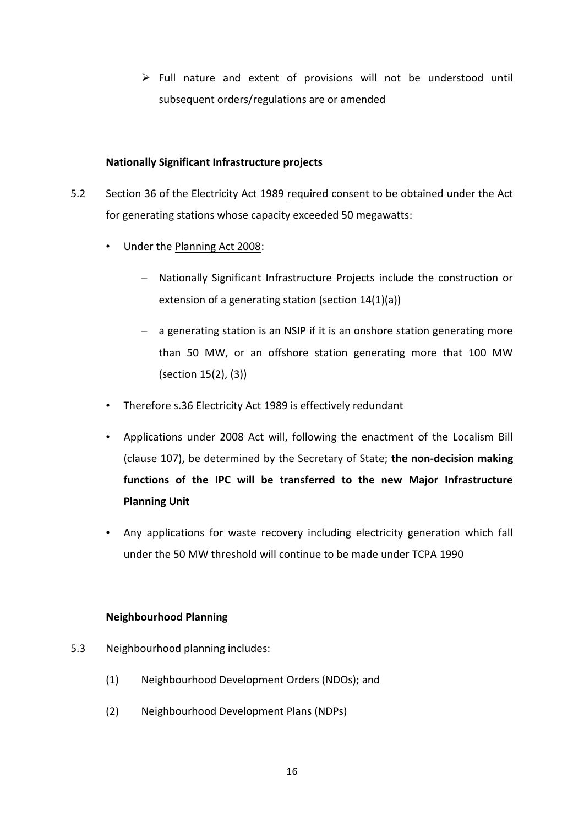$\triangleright$  Full nature and extent of provisions will not be understood until subsequent orders/regulations are or amended

### **Nationally Significant Infrastructure projects**

- 5.2 Section 36 of the Electricity Act 1989 required consent to be obtained under the Act for generating stations whose capacity exceeded 50 megawatts:
	- Under the Planning Act 2008:
		- Nationally Significant Infrastructure Projects include the construction or extension of a generating station (section 14(1)(a))
		- a generating station is an NSIP if it is an onshore station generating more than 50 MW, or an offshore station generating more that 100 MW (section 15(2), (3))
	- Therefore s.36 Electricity Act 1989 is effectively redundant
	- Applications under 2008 Act will, following the enactment of the Localism Bill (clause 107), be determined by the Secretary of State; **the non-decision making functions of the IPC will be transferred to the new Major Infrastructure Planning Unit**
	- Any applications for waste recovery including electricity generation which fall under the 50 MW threshold will continue to be made under TCPA 1990

# **Neighbourhood Planning**

- 5.3 Neighbourhood planning includes:
	- (1) Neighbourhood Development Orders (NDOs); and
	- (2) Neighbourhood Development Plans (NDPs)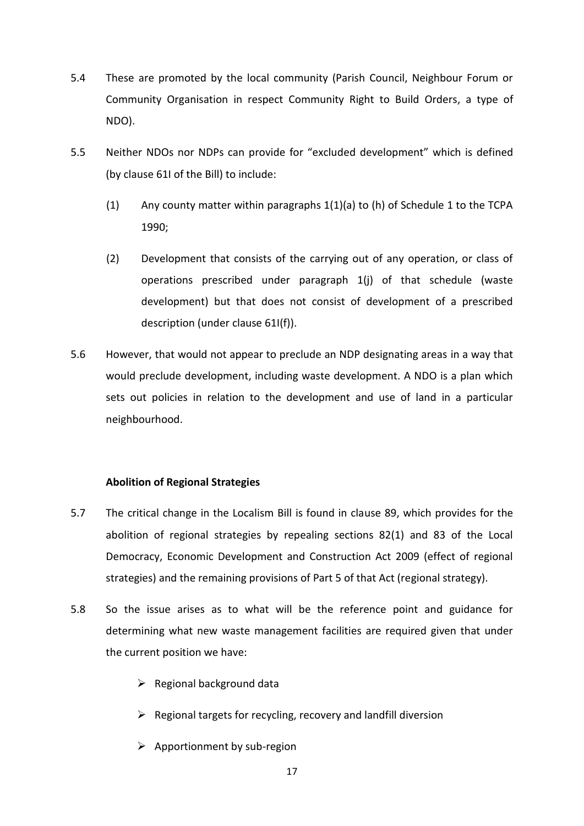- 5.4 These are promoted by the local community (Parish Council, Neighbour Forum or Community Organisation in respect Community Right to Build Orders, a type of NDO).
- 5.5 Neither NDOs nor NDPs can provide for "excluded development" which is defined (by clause 61I of the Bill) to include:
	- (1) Any county matter within paragraphs 1(1)(a) to (h) of Schedule 1 to the TCPA 1990;
	- (2) Development that consists of the carrying out of any operation, or class of operations prescribed under paragraph 1(j) of that schedule (waste development) but that does not consist of development of a prescribed description (under clause 61I(f)).
- 5.6 However, that would not appear to preclude an NDP designating areas in a way that would preclude development, including waste development. A NDO is a plan which sets out policies in relation to the development and use of land in a particular neighbourhood.

### **Abolition of Regional Strategies**

- 5.7 The critical change in the Localism Bill is found in clause 89, which provides for the abolition of regional strategies by repealing sections 82(1) and 83 of the Local Democracy, Economic Development and Construction Act 2009 (effect of regional strategies) and the remaining provisions of Part 5 of that Act (regional strategy).
- 5.8 So the issue arises as to what will be the reference point and guidance for determining what new waste management facilities are required given that under the current position we have:
	- $\triangleright$  Regional background data
	- $\triangleright$  Regional targets for recycling, recovery and landfill diversion
	- $\triangleright$  Apportionment by sub-region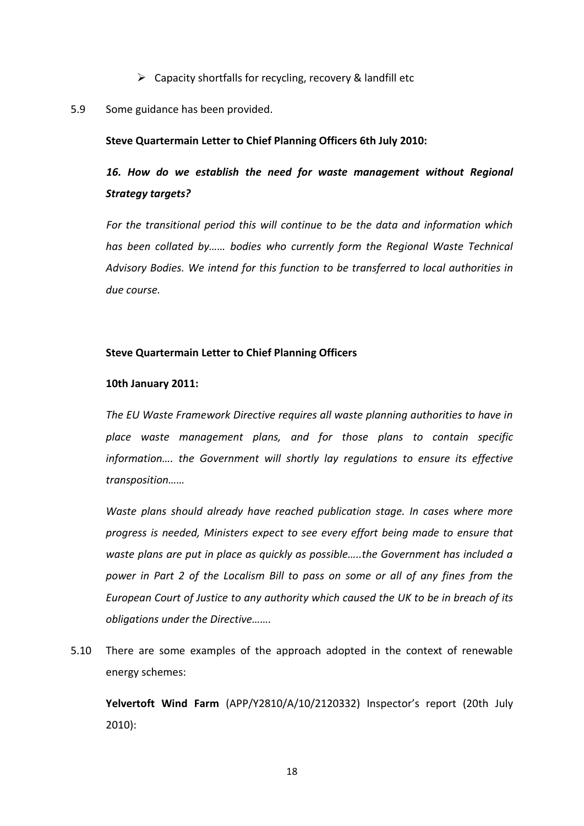$\triangleright$  Capacity shortfalls for recycling, recovery & landfill etc

#### 5.9 Some guidance has been provided.

#### **Steve Quartermain Letter to Chief Planning Officers 6th July 2010:**

# *16. How do we establish the need for waste management without Regional Strategy targets?*

*For the transitional period this will continue to be the data and information which has been collated by…… bodies who currently form the Regional Waste Technical Advisory Bodies. We intend for this function to be transferred to local authorities in due course.*

### **Steve Quartermain Letter to Chief Planning Officers**

#### **10th January 2011:**

*The EU Waste Framework Directive requires all waste planning authorities to have in place waste management plans, and for those plans to contain specific information…. the Government will shortly lay regulations to ensure its effective transposition……*

*Waste plans should already have reached publication stage. In cases where more progress is needed, Ministers expect to see every effort being made to ensure that waste plans are put in place as quickly as possible…..the Government has included a power in Part 2 of the Localism Bill to pass on some or all of any fines from the European Court of Justice to any authority which caused the UK to be in breach of its obligations under the Directive…….*

5.10 There are some examples of the approach adopted in the context of renewable energy schemes:

**Yelvertoft Wind Farm** (APP/Y2810/A/10/2120332) Inspector's report (20th July 2010):

18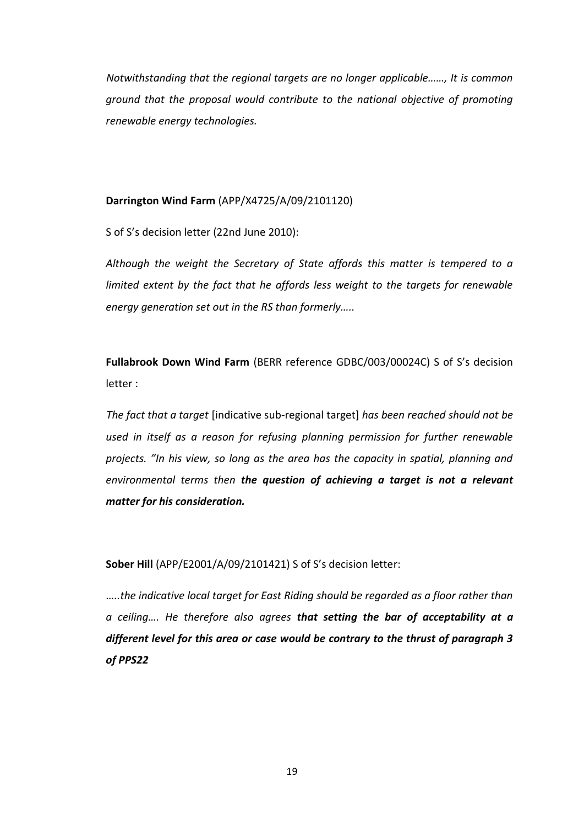*Notwithstanding that the regional targets are no longer applicable……, It is common ground that the proposal would contribute to the national objective of promoting renewable energy technologies.*

### **Darrington Wind Farm** (APP/X4725/A/09/2101120)

S of S's decision letter (22nd June 2010):

*Although the weight the Secretary of State affords this matter is tempered to a limited extent by the fact that he affords less weight to the targets for renewable energy generation set out in the RS than formerly…..*

**Fullabrook Down Wind Farm** (BERR reference GDBC/003/00024C) S of S's decision letter :

*The fact that a target* [indicative sub-regional target] *has been reached should not be used in itself as a reason for refusing planning permission for further renewable projects. "In his view, so long as the area has the capacity in spatial, planning and environmental terms then the question of achieving a target is not a relevant matter for his consideration.*

**Sober Hill** (APP/E2001/A/09/2101421) S of S's decision letter:

*…..the indicative local target for East Riding should be regarded as a floor rather than a ceiling…. He therefore also agrees that setting the bar of acceptability at a different level for this area or case would be contrary to the thrust of paragraph 3 of PPS22*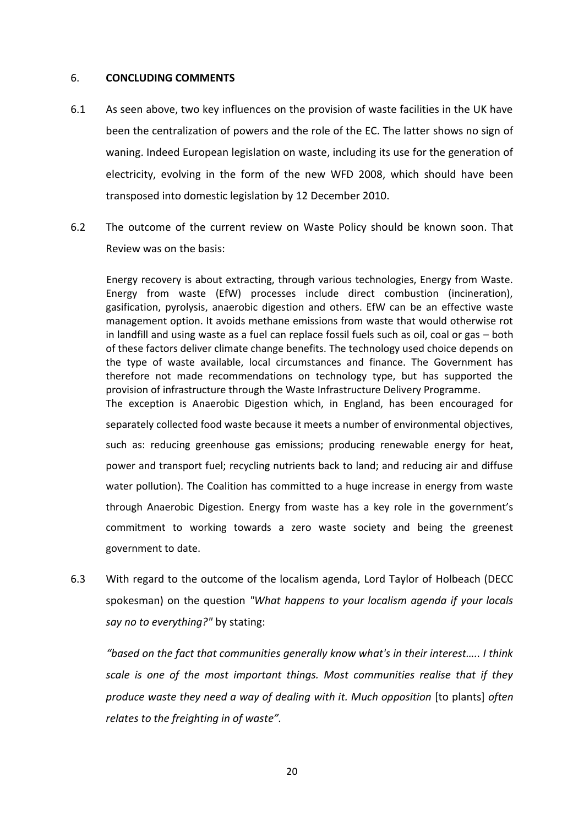### 6. **CONCLUDING COMMENTS**

- 6.1 As seen above, two key influences on the provision of waste facilities in the UK have been the centralization of powers and the role of the EC. The latter shows no sign of waning. Indeed European legislation on waste, including its use for the generation of electricity, evolving in the form of the new WFD 2008, which should have been transposed into domestic legislation by 12 December 2010.
- 6.2 The outcome of the current review on Waste Policy should be known soon. That Review was on the basis:

Energy recovery is about extracting, through various technologies, Energy from Waste. Energy from waste (EfW) processes include direct combustion (incineration), gasification, pyrolysis, anaerobic digestion and others. EfW can be an effective waste management option. It avoids methane emissions from waste that would otherwise rot in landfill and using waste as a fuel can replace fossil fuels such as oil, coal or gas – both of these factors deliver climate change benefits. The technology used choice depends on the type of waste available, local circumstances and finance. The Government has therefore not made recommendations on technology type, but has supported the provision of infrastructure through the Waste Infrastructure Delivery Programme. The exception is Anaerobic Digestion which, in England, has been encouraged for separately collected food waste because it meets a number of environmental objectives, such as: reducing greenhouse gas emissions; producing renewable energy for heat, power and transport fuel; recycling nutrients back to land; and reducing air and diffuse water pollution). The Coalition has committed to a huge increase in energy from waste through Anaerobic Digestion. Energy from waste has a key role in the government's commitment to working towards a zero waste society and being the greenest government to date.

6.3 With regard to the outcome of the localism agenda, Lord Taylor of Holbeach (DECC spokesman) on the question *"What happens to your localism agenda if your locals say no to everything?"* by stating:

*"based on the fact that communities generally know what's in their interest….. I think scale is one of the most important things. Most communities realise that if they produce waste they need a way of dealing with it. Much opposition* [to plants] *often relates to the freighting in of waste".*